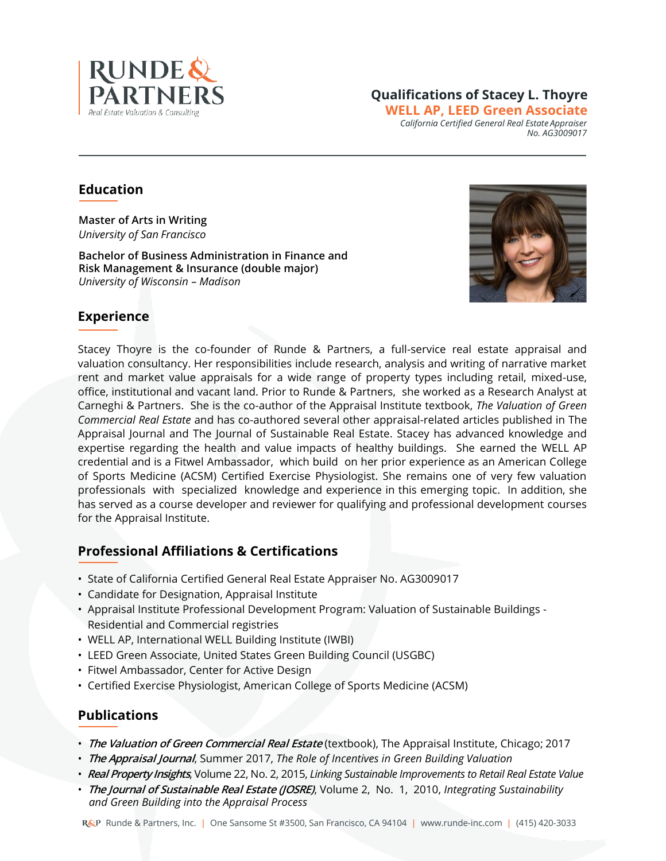

#### **Qualifications of Stacey L. Thoyre WELL AP, LEED Green Associate** *California Certified General Real Estate Appraiser No. AG3009017*

# **Education**

**Master of Arts in Writing** *University of San Francisco*

**Bachelor of Business Administration in Finance and Risk Management & Insurance (double major)**  *University of Wisconsin – Madison*



# **Experience**

Stacey Thoyre is the co-founder of Runde & Partners, a full-service real estate appraisal and valuation consultancy. Her responsibilities include research, analysis and writing of narrative market rent and market value appraisals for a wide range of property types including retail, mixed-use, office, institutional and vacant land. Prior to Runde & Partners, she worked as a Research Analyst at Carneghi & Partners. She is the co-author of the Appraisal Institute textbook, *The Valuation of Green Commercial Real Estate* and has co-authored several other appraisal-related articles published in The Appraisal Journal and The Journal of Sustainable Real Estate. Stacey has advanced knowledge and expertise regarding the health and value impacts of healthy buildings. She earned the WELL AP credential and is a Fitwel Ambassador, which build on her prior experience as an American College of Sports Medicine (ACSM) Certified Exercise Physiologist. She remains one of very few valuation professionals with specialized knowledge and experience in this emerging topic. In addition, she has served as a course developer and reviewer for qualifying and professional development courses for the Appraisal Institute.

## **Professional Affiliations & Certifications**

- State of California Certified General Real Estate Appraiser No. AG3009017
- Candidate for Designation, Appraisal Institute
- Appraisal Institute Professional Development Program: Valuation of Sustainable Buildings Residential and Commercial registries
- WELL AP, International WELL Building Institute (IWBI)
- LEED Green Associate, United States Green Building Council (USGBC)
- Fitwel Ambassador, Center for Active Design
- Certified Exercise Physiologist, American College of Sports Medicine (ACSM)

## **Publications**

- **The Valuation of Green Commercial Real Estate** (textbook), The Appraisal Institute, Chicago; 2017
- **The Appraisal Journal**, Summer 2017, *The Role of Incentives in Green Building Valuation*
- **Real Property Insights**, Volume 22, No. 2, 2015, *Linking Sustainable Improvements to Retail Real Estate Value*
- **The Journal of Sustainable Real Estate (JOSRE)**, Volume 2, No. 1, 2010, *Integrating Sustainability and Green Building into the Appraisal Process*